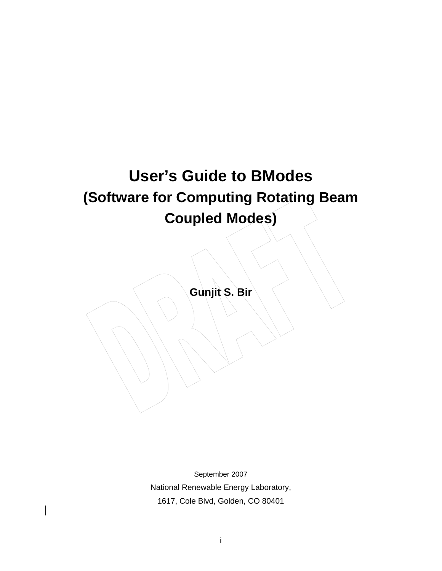# **User's Guide to BModes (Software for Computing Rotating Beam Coupled Modes)**

**Gunjit S. Bir** 

September 2007 National Renewable Energy Laboratory, 1617, Cole Blvd, Golden, CO 80401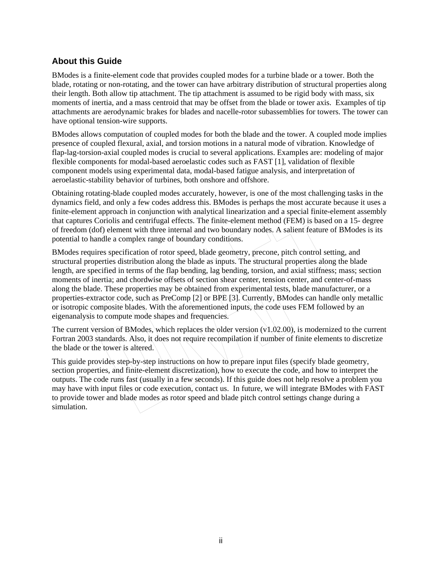## <span id="page-1-0"></span>**About this Guide**

BModes is a finite-element code that provides coupled modes for a turbine blade or a tower. Both the blade, rotating or non-rotating, and the tower can have arbitrary distribution of structural properties along their length. Both allow tip attachment. The tip attachment is assumed to be rigid body with mass, six moments of inertia, and a mass centroid that may be offset from the blade or tower axis. Examples of tip attachments are aerodynamic brakes for blades and nacelle-rotor subassemblies for towers. The tower can have optional tension-wire supports.

BModes allows computation of coupled modes for both the blade and the tower. A coupled mode implies presence of coupled flexural, axial, and torsion motions in a natural mode of vibration. Knowledge of flap-lag-torsion-axial coupled modes is crucial to several applications. Examples are: modeling of major flexible components for modal-based aeroelastic codes such as FAST [1], validation of flexible component models using experimental data, modal-based fatigue analysis, and interpretation of aeroelastic-stability behavior of turbines, both onshore and offshore.

Obtaining rotating-blade coupled modes accurately, however, is one of the most challenging tasks in the dynamics field, and only a few codes address this. BModes is perhaps the most accurate because it uses a finite-element approach in conjunction with analytical linearization and a special finite-element assembly that captures Coriolis and centrifugal effects. The finite-element method (FEM) is based on a 15- degree of freedom (dof) element with three internal and two boundary nodes. A salient feature of BModes is its potential to handle a complex range of boundary conditions.

BModes requires specification of rotor speed, blade geometry, precone, pitch control setting, and structural properties distribution along the blade as inputs. The structural properties along the blade length, are specified in terms of the flap bending, lag bending, torsion, and axial stiffness; mass; section moments of inertia; and chordwise offsets of section shear center, tension center, and center-of-mass along the blade. These properties may be obtained from experimental tests, blade manufacturer, or a properties-extractor code, such as PreComp [2] or BPE [3]. Currently, BModes can handle only metallic or isotropic composite blades. With the aforementioned inputs, the code uses FEM followed by an eigenanalysis to compute mode shapes and frequencies.

The current version of BModes, which replaces the older version (v1.02.00), is modernized to the current Fortran 2003 standards. Also, it does not require recompilation if number of finite elements to discretize the blade or the tower is altered.

This guide provides step-by-step instructions on how to prepare input files (specify blade geometry, section properties, and finite-element discretization), how to execute the code, and how to interpret the outputs. The code runs fast (usually in a few seconds). If this guide does not help resolve a problem you may have with input files or code execution, contact us. In future, we will integrate BModes with FAST to provide tower and blade modes as rotor speed and blade pitch control settings change during a simulation.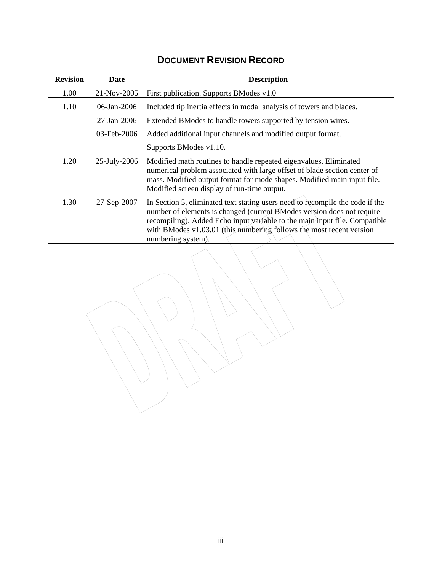| <b>Revision</b> | Date              | <b>Description</b>                                                                                                                                                                                                                                                                                                                    |
|-----------------|-------------------|---------------------------------------------------------------------------------------------------------------------------------------------------------------------------------------------------------------------------------------------------------------------------------------------------------------------------------------|
| 1.00            | 21-Nov-2005       | First publication. Supports BModes v1.0                                                                                                                                                                                                                                                                                               |
| 1.10            | $06$ -Jan-2006    | Included tip inertia effects in modal analysis of towers and blades.                                                                                                                                                                                                                                                                  |
|                 | $27 - Jan - 2006$ | Extended BModes to handle towers supported by tension wires.                                                                                                                                                                                                                                                                          |
|                 | 03-Feb-2006       | Added additional input channels and modified output format.                                                                                                                                                                                                                                                                           |
|                 |                   | Supports BModes v1.10.                                                                                                                                                                                                                                                                                                                |
| 1.20            | 25-July-2006      | Modified math routines to handle repeated eigenvalues. Eliminated<br>numerical problem associated with large offset of blade section center of<br>mass. Modified output format for mode shapes. Modified main input file.<br>Modified screen display of run-time output.                                                              |
| 1.30            | 27-Sep-2007       | In Section 5, eliminated text stating users need to recompile the code if the<br>number of elements is changed (current BModes version does not require<br>recompiling). Added Echo input variable to the main input file. Compatible<br>with BModes $v1.03.01$ (this numbering follows the most recent version<br>numbering system). |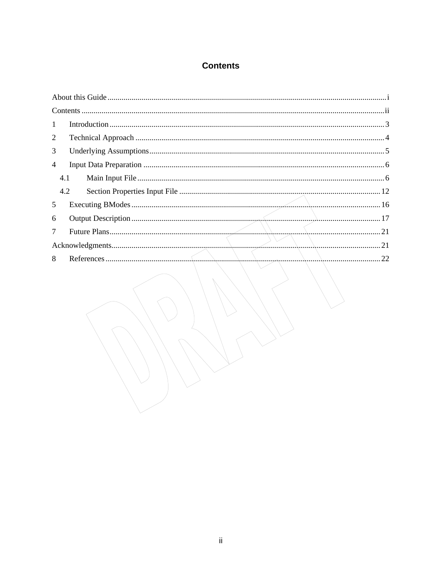# **Contents**

<span id="page-3-0"></span>

| $Contents \dots 11$ |  |
|---------------------|--|
| $\mathbf{1}$        |  |
| 2                   |  |
| 3                   |  |
| $\overline{4}$      |  |
| 4.1                 |  |
| 4.2                 |  |
| 5                   |  |
| 6                   |  |
| $\tau$              |  |
|                     |  |
| 8                   |  |
|                     |  |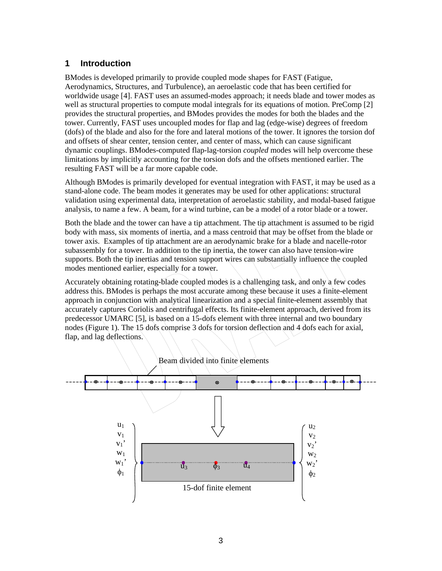#### <span id="page-4-0"></span>**1 Introduction**

BModes is developed primarily to provide coupled mode shapes for FAST (Fatigue, Aerodynamics, Structures, and Turbulence), an aeroelastic code that has been certified for worldwide usage [4]. FAST uses an assumed-modes approach; it needs blade and tower modes as well as structural properties to compute modal integrals for its equations of motion. PreComp [2] provides the structural properties, and BModes provides the modes for both the blades and the tower. Currently, FAST uses uncoupled modes for flap and lag (edge-wise) degrees of freedom (dofs) of the blade and also for the fore and lateral motions of the tower. It ignores the torsion dof and offsets of shear center, tension center, and center of mass, which can cause significant dynamic couplings. BModes-computed flap-lag-torsion *coupled* modes will help overcome these limitations by implicitly accounting for the torsion dofs and the offsets mentioned earlier. The resulting FAST will be a far more capable code.

Although BModes is primarily developed for eventual integration with FAST, it may be used as a stand-alone code. The beam modes it generates may be used for other applications: structural validation using experimental data, interpretation of aeroelastic stability, and modal-based fatigue analysis, to name a few. A beam, for a wind turbine, can be a model of a rotor blade or a tower.

Both the blade and the tower can have a tip attachment. The tip attachment is assumed to be rigid body with mass, six moments of inertia, and a mass centroid that may be offset from the blade or tower axis. Examples of tip attachment are an aerodynamic brake for a blade and nacelle-rotor subassembly for a tower. In addition to the tip inertia, the tower can also have tension-wire supports. Both the tip inertias and tension support wires can substantially influence the coupled modes mentioned earlier, especially for a tower.

Accurately obtaining rotating-blade coupled modes is a challenging task, and only a few codes address this. BModes is perhaps the most accurate among these because it uses a finite-element approach in conjunction with analytical linearization and a special finite-element assembly that accurately captures Coriolis and centrifugal effects. Its finite-element approach, derived from its predecessor UMARC [5], is based on a 15-dofs element with three internal and two boundary nodes (Figure 1). The 15 dofs comprise 3 dofs for torsion deflection and 4 dofs each for axial, flap, and lag deflections.

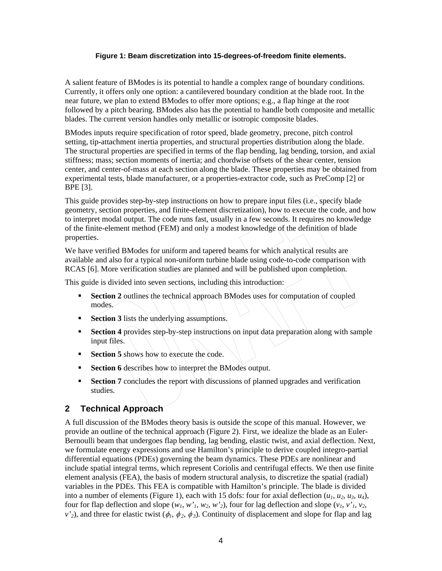#### **Figure 1: Beam discretization into 15-degrees-of-freedom finite elements.**

<span id="page-5-0"></span>A salient feature of BModes is its potential to handle a complex range of boundary conditions. Currently, it offers only one option: a cantilevered boundary condition at the blade root. In the near future, we plan to extend BModes to offer more options; e.g., a flap hinge at the root followed by a pitch bearing. BModes also has the potential to handle both composite and metallic blades. The current version handles only metallic or isotropic composite blades.

BModes inputs require specification of rotor speed, blade geometry, precone, pitch control setting, tip-attachment inertia properties, and structural properties distribution along the blade. The structural properties are specified in terms of the flap bending, lag bending, torsion, and axial stiffness; mass; section moments of inertia; and chordwise offsets of the shear center, tension center, and center-of-mass at each section along the blade. These properties may be obtained from experimental tests, blade manufacturer, or a properties-extractor code, such as PreComp [2] or BPE [3].

This guide provides step-by-step instructions on how to prepare input files (i.e., specify blade geometry, section properties, and finite-element discretization), how to execute the code, and how to interpret modal output. The code runs fast, usually in a few seconds. It requires no knowledge of the finite-element method (FEM) and only a modest knowledge of the definition of blade properties.

We have verified BModes for uniform and tapered beams for which analytical results are available and also for a typical non-uniform turbine blade using code-to-code comparison with RCAS [6]. More verification studies are planned and will be published upon completion.

This guide is divided into seven sections, including this introduction:

- **Section 2** outlines the technical approach BModes uses for computation of coupled modes.
- **Section 3** lists the underlying assumptions.
- **Section 4** provides step-by-step instructions on input data preparation along with sample input files.
- **Section 5** shows how to execute the code.
- **Section 6** describes how to interpret the BModes output.
- **Section 7** concludes the report with discussions of planned upgrades and verification studies.

#### **2 Technical Approach**

A full discussion of the BModes theory basis is outside the scope of this manual. However, we provide an outline of the technical approach (Figure 2). First, we idealize the blade as an Euler-Bernoulli beam that undergoes flap bending, lag bending, elastic twist, and axial deflection. Next, we formulate energy expressions and use Hamilton's principle to derive coupled integro-partial differential equations (PDEs) governing the beam dynamics. These PDEs are nonlinear and include spatial integral terms, which represent Coriolis and centrifugal effects. We then use finite element analysis (FEA), the basis of modern structural analysis, to discretize the spatial (radial) variables in the PDEs. This FEA is compatible with Hamilton's principle. The blade is divided into a number of elements (Figure 1), each with 15 dofs: four for axial deflection  $(u_1, u_2, u_3, u_4)$ , four for flap deflection and slope  $(w_1, w'_1, w_2, w'_2)$ , four for lag deflection and slope  $(v_1, v'_1, v_2, w'_1)$ *v'*<sub>2</sub>), and three for elastic twist ( $\phi_1$ ,  $\phi_2$ ,  $\phi_3$ ). Continuity of displacement and slope for flap and lag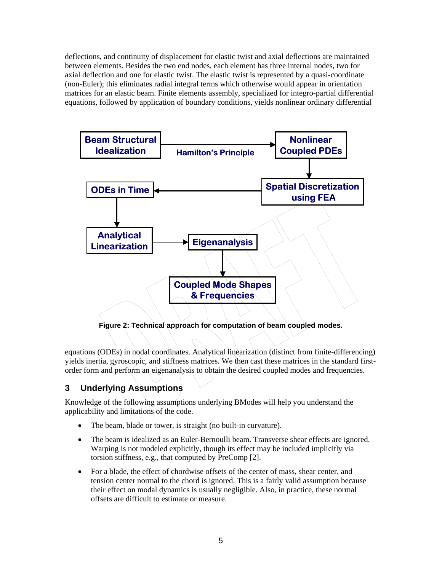<span id="page-6-0"></span>deflections, and continuity of displacement for elastic twist and axial deflections are maintained between elements. Besides the two end nodes, each element has three internal nodes, two for axial deflection and one for elastic twist. The elastic twist is represented by a quasi-coordinate (non-Euler); this eliminates radial integral terms which otherwise would appear in orientation matrices for an elastic beam. Finite elements assembly, specialized for integro-partial differential equations, followed by application of boundary conditions, yields nonlinear ordinary differential



equations (ODEs) in nodal coordinates. Analytical linearization (distinct from finite-differencing) yields inertia, gyroscopic, and stiffness matrices. We then cast these matrices in the standard firstorder form and perform an eigenanalysis to obtain the desired coupled modes and frequencies.

#### **3 Underlying Assumptions**

Knowledge of the following assumptions underlying BModes will help you understand the applicability and limitations of the code.

- The beam, blade or tower, is straight (no built-in curvature).
- The beam is idealized as an Euler-Bernoulli beam. Transverse shear effects are ignored. Warping is not modeled explicitly, though its effect may be included implicitly via torsion stiffness, e.g., that computed by PreComp [2].
- For a blade, the effect of chordwise offsets of the center of mass, shear center, and tension center normal to the chord is ignored. This is a fairly valid assumption because their effect on modal dynamics is usually negligible. Also, in practice, these normal offsets are difficult to estimate or measure.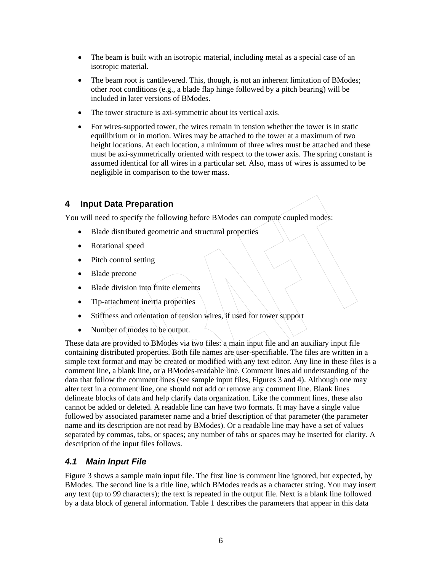- <span id="page-7-0"></span>• The beam is built with an isotropic material, including metal as a special case of an isotropic material.
- The beam root is cantilevered. This, though, is not an inherent limitation of BModes; other root conditions (e.g., a blade flap hinge followed by a pitch bearing) will be included in later versions of BModes.
- The tower structure is axi-symmetric about its vertical axis.
- For wires-supported tower, the wires remain in tension whether the tower is in static equilibrium or in motion. Wires may be attached to the tower at a maximum of two height locations. At each location, a minimum of three wires must be attached and these must be axi-symmetrically oriented with respect to the tower axis. The spring constant is assumed identical for all wires in a particular set. Also, mass of wires is assumed to be negligible in comparison to the tower mass.

#### **4 Input Data Preparation**

You will need to specify the following before BModes can compute coupled modes:

- Blade distributed geometric and structural properties
- Rotational speed
- Pitch control setting
- Blade precone
- Blade division into finite elements
- Tip-attachment inertia properties
- Stiffness and orientation of tension wires, if used for tower support
- Number of modes to be output.

These data are provided to BModes via two files: a main input file and an auxiliary input file containing distributed properties. Both file names are user-specifiable. The files are written in a simple text format and may be created or modified with any text editor. Any line in these files is a comment line, a blank line, or a BModes-readable line. Comment lines aid understanding of the data that follow the comment lines (see sample input files, Figures 3 and 4). Although one may alter text in a comment line, one should not add or remove any comment line. Blank lines delineate blocks of data and help clarify data organization. Like the comment lines, these also cannot be added or deleted. A readable line can have two formats. It may have a single value followed by associated parameter name and a brief description of that parameter (the parameter name and its description are not read by BModes). Or a readable line may have a set of values separated by commas, tabs, or spaces; any number of tabs or spaces may be inserted for clarity. A description of the input files follows.

#### *4.1 Main Input File*

Figure 3 shows a sample main input file. The first line is comment line ignored, but expected, by BModes. The second line is a title line, which BModes reads as a character string. You may insert any text (up to 99 characters); the text is repeated in the output file. Next is a blank line followed by a data block of general information. Table 1 describes the parameters that appear in this data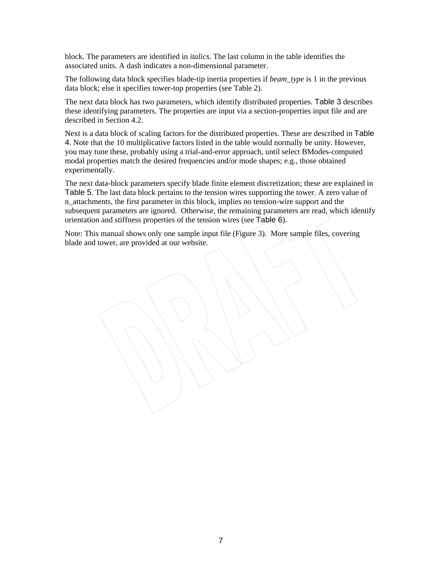block. The parameters are identified in *italics*. The last column in the table identifies the associated units. A dash indicates a non-dimensional parameter.

The following data block specifies blade-tip inertia properties if *beam\_type* is 1 in the previous data block; else it specifies tower-top properties (see [Table 2](#page-11-0)).

The next data block has two parameters, which identify distributed properties. [Table 3](#page-11-0) describes these identifying parameters. The properties are input via a section-properties input file and are described in Section [4.2.](#page-13-0)

Next is a data block of scaling factors for the distributed properties. These are described in [Table](#page-12-0)  [4](#page-12-0). Note that the 10 multiplicative factors listed in the table would normally be unity. However, you may tune these, probably using a trial-and-error approach, until select BModes-computed modal properties match the desired frequencies and/or mode shapes; e.g., those obtained experimentally.

The next data-block parameters specify blade finite element discretization; these are explained in [Table 5](#page-12-0). The last data block pertains to the tension wires supporting the tower. A zero value of n\_attachments, the first parameter in this block, implies no tension-wire support and the subsequent parameters are ignored. Otherwise, the remaining parameters are read, which identify orientation and stiffness properties of the tension wires (see [Table 6](#page-13-0)).

Note: This manual shows only one sample input file (Figure 3). More sample files, covering blade and tower, are provided at our website.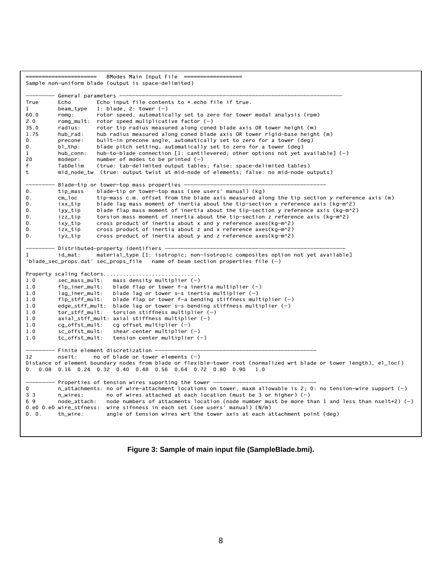```
BModes Main Input File =
Sample non-uniform blade (output is space-delimited) 
          General parameters -
True Echo Echo input file contents to *.echo file if true.<br>1 beam_type 1: blade, 2: tower (-)1 beam_type 1: blade, 2: tower (-)<br>60.0 comg: contor speed automatic
          romg: rotor speed, automatically set to zero for tower modal analysis (rpm)
2.0 romg_mult: rotor speed muliplicative factor (-)<br>35.0 radius: rotor tip radius measured along cone
          radius: rotor tip radius measured along coned blade axis OR tower height (m)
1.75 hub_rad: hub radius measured along coned blade axis OR tower rigid-base height (m) 
0. precone: built-in precone angle, automatically set to zero for a tower (deg)<br>0. bl_thp: blade pitch setting, automatically set to zero for a tower (deg)
                       blade pitch setting, automatically set to zero for a tower (deg)
1 hub_conn: hub-to-blade connection [1: cantilevered; other options not yet available] (-) 
20 modepr: number of modes to be printed (-) 
f TabDelim (true: tab-delimited output tables; false: space-delimited tables) 
t mid_node_tw (true: output twist at mid-node of elements; false: no mid-node outputs) 
--------- Blade-tip or tower-top mass properties -------------------------------------------- 
0. tip_mass blade-tip or tower-top mass (see users' manual) (kg)<br>0. cm_loc tip-mass c.m. offset from the blade axis measured al
                       tip-mass c.m. offset from the blade axis measured along the tip section y reference axis (m)
0. ixx tip blade lag mass moment of inertia about the tip-section x reference axis (kg-m^2)
0. iyy_tip blade flap mass moment of inertia about the tip-section y reference axis (kg-m^2)
0. izz_tip torsion mass moment of inertia about the tip-section z reference axis (kg-m^2)
0. ixy tip cross product of inertia about x and y reference axes(kg-m^2)
0. izx_tip cross product of inertia about z and x reference axes(kg-m^2)
0. iyz_tip cross product of inertia about y and z reference axes(kg-m^2)
         - Distributed-property identifiers -
1 id_mat: material_type [1: isotropic; non-isotropic composites option not yet available] 
'blade_sec_props.dat' sec_props_file name of beam section properties file (-) 
Property scaling factors...................
1.0 sec_mass_mult: mass density multiplier (-) 
1.0 flp_iner_mult: blade flap or tower f-a inertia multiplier (-)<br>1.0 lag_iner_mult: blade lag or tower s-s inertia multiplier (-)
                            blade lag or tower s-s inertia multiplier (-)1.0 flp_stff_mult: blade flap or tower f-a bending stiffness multiplier (-) 
1.0 edge_stff_mult: blade lag or tower s-s bending stiffness multiplier (-)<br>1.0 tor_stff_mult: torsion stiffness multiplier (-)
                            torsion stiffness multiplier (-)1.0 axial_stff_mult: axial stiffness multiplier (-) 
1.0 cg_offst_mult: cg offset multiplier (-) 
1.0 sc_offst_mult: shear center multiplier (-) 
1.0 tc_offst_mult: tension center multiplier (-) 
         - Finite element discretization -
12 nselt: no of blade or tower elements (-) 
Distance of element boundary nodes from blade or flexible-tower root (normalized wrt blade or tower length), el_loc() 
0. 0.08 0.16 0.24 0.32 0.40 0.48 0.56 0.64 0.72 0.80 0.90 1.0 
---------- Properties of tension wires suporting the tower -<br>0 m attachments: no of wire-attachment locations or
          n_attachments: no of wire-attachment locations on tower, maxm allowable is 2; 0: no tension-wire support (-)
3 3 nuires: no of wires attached at each location (must be 3 or higher) (-)
6 9 node_attach: node numbers of attacments location (node number must be more than 1 and less than nselt+2) (-) 
0.e0 0.e0 wire_stfness: wire sifnness in each set (see users' manual) (N/m) 
0. 0. th_wire: angle of tension wires wrt the tower axis at each attachment point (deg)
```
**Figure 3: Sample of main input file (SampleBlade.bmi).**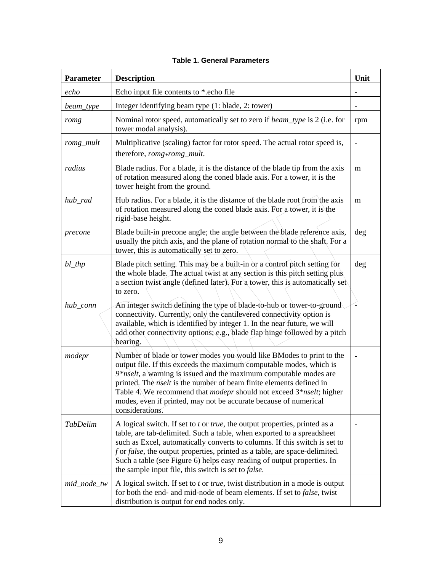<span id="page-10-0"></span>

| <b>Parameter</b> | <b>Description</b>                                                                                                                                                                                                                                                                                                                                                                                                                                                              | Unit |
|------------------|---------------------------------------------------------------------------------------------------------------------------------------------------------------------------------------------------------------------------------------------------------------------------------------------------------------------------------------------------------------------------------------------------------------------------------------------------------------------------------|------|
| echo             | Echo input file contents to *.echo file                                                                                                                                                                                                                                                                                                                                                                                                                                         |      |
| beam_type        | Integer identifying beam type (1: blade, 2: tower)                                                                                                                                                                                                                                                                                                                                                                                                                              |      |
| romg             | Nominal rotor speed, automatically set to zero if beam_type is 2 (i.e. for<br>tower modal analysis).                                                                                                                                                                                                                                                                                                                                                                            | rpm  |
| romg_mult        | Multiplicative (scaling) factor for rotor speed. The actual rotor speed is,<br>therefore, romg*romg_mult.                                                                                                                                                                                                                                                                                                                                                                       |      |
| radius           | Blade radius. For a blade, it is the distance of the blade tip from the axis<br>of rotation measured along the coned blade axis. For a tower, it is the<br>tower height from the ground.                                                                                                                                                                                                                                                                                        | m    |
| hub_rad          | Hub radius. For a blade, it is the distance of the blade root from the axis<br>of rotation measured along the coned blade axis. For a tower, it is the<br>rigid-base height.                                                                                                                                                                                                                                                                                                    | m    |
| precone          | Blade built-in precone angle; the angle between the blade reference axis,<br>usually the pitch axis, and the plane of rotation normal to the shaft. For a<br>tower, this is automatically set to zero.                                                                                                                                                                                                                                                                          | deg  |
| $bl_{\perp}$ thp | Blade pitch setting. This may be a built-in or a control pitch setting for<br>the whole blade. The actual twist at any section is this pitch setting plus.<br>a section twist angle (defined later). For a tower, this is automatically set<br>to zero.                                                                                                                                                                                                                         | deg  |
| hub_conn         | An integer switch defining the type of blade-to-hub or tower-to-ground<br>connectivity. Currently, only the cantilevered connectivity option is<br>available, which is identified by integer 1. In the near future, we will<br>add other connectivity options; e.g., blade flap hinge followed by a pitch<br>bearing.                                                                                                                                                           |      |
| modepr           | Number of blade or tower modes you would like BModes to print to the<br>output file. If this exceeds the maximum computable modes, which is<br>$9*nselt$ , a warning is issued and the maximum computable modes are<br>printed. The <i>nselt</i> is the number of beam finite elements defined in<br>Table 4. We recommend that <i>modepr</i> should not exceed 3* <i>nselt</i> ; higher<br>modes, even if printed, may not be accurate because of numerical<br>considerations. |      |
| <b>TabDelim</b>  | A logical switch. If set to t or true, the output properties, printed as a<br>table, are tab-delimited. Such a table, when exported to a spreadsheet<br>such as Excel, automatically converts to columns. If this switch is set to<br>f or false, the output properties, printed as a table, are space-delimited.<br>Such a table (see Figure 6) helps easy reading of output properties. In<br>the sample input file, this switch is set to <i>false</i> .                     |      |
| mid_node_tw      | A logical switch. If set to <i>t</i> or <i>true</i> , twist distribution in a mode is output<br>for both the end- and mid-node of beam elements. If set to false, twist<br>distribution is output for end nodes only.                                                                                                                                                                                                                                                           |      |

#### **Table 1. General Parameters**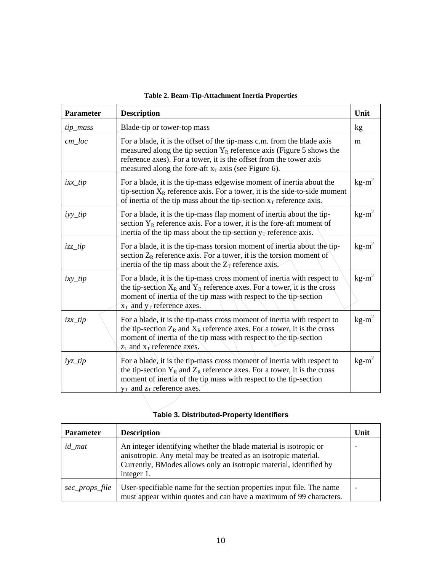<span id="page-11-0"></span>

| <b>Parameter</b> | <b>Description</b>                                                                                                                                                                                                                                                                | Unit     |
|------------------|-----------------------------------------------------------------------------------------------------------------------------------------------------------------------------------------------------------------------------------------------------------------------------------|----------|
| tip_mass         | Blade-tip or tower-top mass                                                                                                                                                                                                                                                       | kg       |
| $cm\_loc$        | For a blade, it is the offset of the tip-mass c.m. from the blade axis<br>measured along the tip section $Y_R$ reference axis (Figure 5 shows the<br>reference axes). For a tower, it is the offset from the tower axis<br>measured along the fore-aft $x_T$ axis (see Figure 6). | m        |
| $ixx_tip$        | For a blade, it is the tip-mass edgewise moment of inertia about the<br>tip-section $X_R$ reference axis. For a tower, it is the side-to-side moment<br>of inertia of the tip mass about the tip-section $x_T$ reference axis,                                                    | $kg-m^2$ |
| $iyy\_tip$       | For a blade, it is the tip-mass flap moment of inertia about the tip-<br>section $Y_R$ reference axis. For a tower, it is the fore-aft moment of<br>inertia of the tip mass about the tip-section $y_T$ reference axis.                                                           | $kg-m^2$ |
| $izz_tip$        | For a blade, it is the tip-mass torsion moment of inertia about the tip-<br>section $Z_R$ reference axis. For a tower, it is the torsion moment of<br>inertia of the tip mass about the $Z_T$ reference axis.                                                                     | $kg-m^2$ |
| $ixy_t$          | For a blade, it is the tip-mass cross moment of inertia with respect to<br>the tip-section $X_R$ and $Y_R$ reference axes. For a tower, it is the cross<br>moment of inertia of the tip mass with respect to the tip-section<br>$x_T$ and $y_T$ reference axes.                   | $kg-m^2$ |
| $izx_tip$        | For a blade, it is the tip-mass cross moment of inertia with respect to<br>the tip-section $Z_R$ and $X_R$ reference axes. For a tower, it is the cross<br>moment of inertia of the tip mass with respect to the tip-section<br>$z_T$ and $x_T$ reference axes.                   | $kg-m^2$ |
| $iyz_tip$        | For a blade, it is the tip-mass cross moment of inertia with respect to<br>the tip-section $Y_R$ and $Z_R$ reference axes. For a tower, it is the cross<br>moment of inertia of the tip mass with respect to the tip-section<br>$y_T$ and $z_T$ reference axes.                   | $kg-m^2$ |

#### **Table 2. Beam-Tip-Attachment Inertia Properties**

## **Table 3. Distributed-Property Identifiers**

| <b>Parameter</b> | <b>Description</b>                                                                                                                                                                                                       | Unit |
|------------------|--------------------------------------------------------------------------------------------------------------------------------------------------------------------------------------------------------------------------|------|
| <i>id</i> mat    | An integer identifying whether the blade material is isotropic or<br>anisotropic. Any metal may be treated as an isotropic material.<br>Currently, BModes allows only an isotropic material, identified by<br>integer 1. |      |
| sec_props_file   | User-specifiable name for the section properties input file. The name<br>must appear within quotes and can have a maximum of 99 characters.                                                                              |      |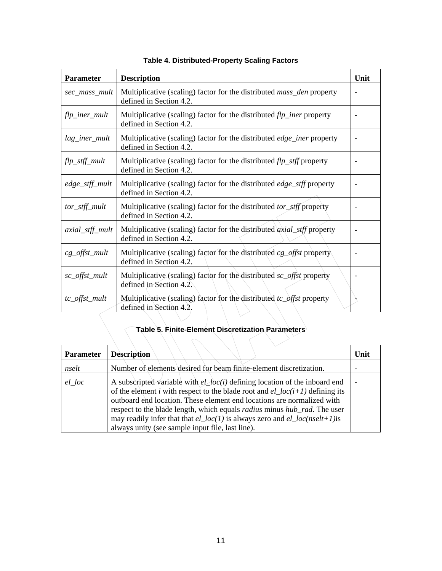<span id="page-12-0"></span>

| <b>Parameter</b>   | <b>Description</b>                                                                                        | Unit |
|--------------------|-----------------------------------------------------------------------------------------------------------|------|
| sec_mass_mult      | Multiplicative (scaling) factor for the distributed <i>mass_den</i> property<br>defined in Section 4.2.   |      |
| $flp\_iner\_mult$  | Multiplicative (scaling) factor for the distributed $flp\_iner$ property<br>defined in Section 4.2.       |      |
| lag_iner_mult      | Multiplicative (scaling) factor for the distributed edge_iner property<br>defined in Section 4.2.         |      |
| flp_stff_mult      | Multiplicative (scaling) factor for the distributed $flp\_stff$ property<br>defined in Section 4.2.       |      |
| edge_stff_mult     | Multiplicative (scaling) factor for the distributed <i>edge_stff</i> property<br>defined in Section 4.2.  |      |
| tor_stff_mult      | Multiplicative (scaling) factor for the distributed tor_stff property<br>defined in Section 4.2.          |      |
| axial_stff_mult    | Multiplicative (scaling) factor for the distributed <i>axial_stff</i> property<br>defined in Section 4.2. |      |
| $cg\_offset\_mult$ | Multiplicative (scaling) factor for the distributed cg_offst property<br>defined in Section 4.2.          |      |
| sc_offst_mult      | Multiplicative (scaling) factor for the distributed sc_offst property<br>defined in Section 4.2.          |      |
| tc_offst_mult      | Multiplicative (scaling) factor for the distributed $tc\_offset$ property<br>defined in Section 4.2.      |      |

#### **Table 4. Distributed-Property Scaling Factors**

# **Table 5. Finite-Element Discretization Parameters**

| <b>Parameter</b> | <b>Description</b>                                                                                                                                                                                                                                                                                                                                                                                                                                                                      | Unit |
|------------------|-----------------------------------------------------------------------------------------------------------------------------------------------------------------------------------------------------------------------------------------------------------------------------------------------------------------------------------------------------------------------------------------------------------------------------------------------------------------------------------------|------|
| nselt            | Number of elements desired for beam finite-element discretization.                                                                                                                                                                                                                                                                                                                                                                                                                      |      |
| el loc           | A subscripted variable with $el\_{loc}(i)$ defining location of the inboard end<br>of the element <i>i</i> with respect to the blade root and $el\_loc(i+1)$ defining its<br>outboard end location. These element end locations are normalized with<br>respect to the blade length, which equals <i>radius</i> minus <i>hub_rad</i> . The user<br>may readily infer that that $el\_loc(1)$ is always zero and $el\_loc(nself+1)$ is<br>always unity (see sample input file, last line). |      |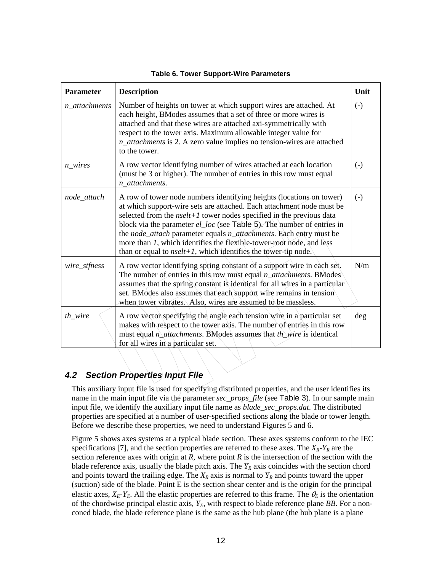<span id="page-13-0"></span>

| <b>Parameter</b>             | <b>Description</b>                                                                                                                                                                                                                                                                                                                                                                                                                                                                                                   | Unit              |
|------------------------------|----------------------------------------------------------------------------------------------------------------------------------------------------------------------------------------------------------------------------------------------------------------------------------------------------------------------------------------------------------------------------------------------------------------------------------------------------------------------------------------------------------------------|-------------------|
| $n_$ <sub>_attachments</sub> | Number of heights on tower at which support wires are attached. At<br>each height, BModes assumes that a set of three or more wires is<br>attached and that these wires are attached axi-symmetrically with<br>respect to the tower axis. Maximum allowable integer value for<br>n_attachments is 2. A zero value implies no tension-wires are attached<br>to the tower.                                                                                                                                             | $\left( -\right)$ |
| $n\_wires$                   | A row vector identifying number of wires attached at each location<br>(must be 3 or higher). The number of entries in this row must equal<br>n_attachments.                                                                                                                                                                                                                                                                                                                                                          | $\left( -\right)$ |
| node_attach                  | A row of tower node numbers identifying heights (locations on tower)<br>at which support-wire sets are attached. Each attachment node must be<br>selected from the $nself+1$ tower nodes specified in the previous data<br>block via the parameter el_loc (see Table 5). The number of entries in<br>the node_attach parameter equals n_attachments. Each entry must be<br>more than 1, which identifies the flexible-tower-root node, and less<br>than or equal to $nself+1$ , which identifies the tower-tip node. | $(-)$             |
| wire_stfness                 | A row vector identifying spring constant of a support wire in each set.<br>The number of entries in this row must equal $n_{\text{u}}$ attachments. BModes<br>assumes that the spring constant is identical for all wires in a particular<br>set. BModes also assumes that each support wire remains in tension<br>when tower vibrates. Also, wires are assumed to be massless.                                                                                                                                      | N/m               |
| $th\_wire$                   | A row vector specifying the angle each tension wire in a particular set<br>makes with respect to the tower axis. The number of entries in this row<br>must equal $n_{\Delta}$ <i>attachments</i> . BModes assumes that <i>th</i> wire is identical<br>for all wires in a particular set.                                                                                                                                                                                                                             | deg               |

**Table 6. Tower Support-Wire Parameters** 

#### *4.2 Section Properties Input File*

This auxiliary input file is used for specifying distributed properties, and the user identifies its name in the main input file via the parameter *sec\_props\_file* (see [Table 3](#page-11-0)). In our sample main input file, we identify the auxiliary input file name as *blade\_sec\_props.dat*. The distributed properties are specified at a number of user-specified sections along the blade or tower length. Before we describe these properties, we need to understand Figures 5 and 6.

Figure 5 shows axes systems at a typical blade section. These axes systems conform to the IEC specifications [7], and the section properties are referred to these axes. The  $X_R$ - $Y_R$  are the section reference axes with origin at  $R$ , where point  $R$  is the intersection of the section with the blade reference axis, usually the blade pitch axis. The  $Y_R$  axis coincides with the section chord and points toward the trailing edge. The  $X_R$  axis is normal to  $Y_R$  and points toward the upper (suction) side of the blade. Point E is the section shear center and is the origin for the principal elastic axes,  $X_E - Y_E$ . All the elastic properties are referred to this frame. The  $\theta_E$  is the orientation of the chordwise principal elastic axis,  $Y_E$ , with respect to blade reference plane *BB*. For a nonconed blade, the blade reference plane is the same as the hub plane (the hub plane is a plane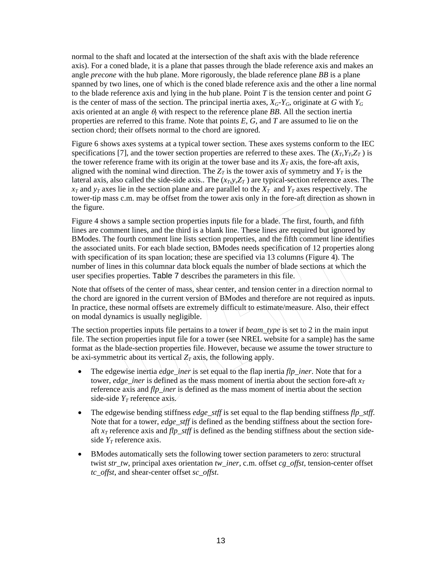normal to the shaft and located at the intersection of the shaft axis with the blade reference axis). For a coned blade, it is a plane that passes through the blade reference axis and makes an angle *precone* with the hub plane. More rigorously, the blade reference plane *BB* is a plane spanned by two lines, one of which is the coned blade reference axis and the other a line normal to the blade reference axis and lying in the hub plane. Point *T* is the tension center and point *G* is the center of mass of the section. The principal inertia axes,  $X_G$ - $Y_G$ , originate at *G* with  $Y_G$ axis oriented at an angle  $\theta$ *l* with respect to the reference plane *BB*. All the section inertia properties are referred to this frame. Note that points *E*, *G*, and *T* are assumed to lie on the section chord; their offsets normal to the chord are ignored.

Figure 6 shows axes systems at a typical tower section. These axes systems conform to the IEC specifications [7], and the tower section properties are referred to these axes. The  $(X_T, Y_T, Z_T)$  is the tower reference frame with its origin at the tower base and its  $X_T$  axis, the fore-aft axis, aligned with the nominal wind direction. The  $Z_T$  is the tower axis of symmetry and  $Y_T$  is the lateral axis, also called the side-side axis.. The  $(x_T, y, Z_T)$  are typical-section reference axes. The  $x_T$  and  $y_T$  axes lie in the section plane and are parallel to the  $X_T$  and  $Y_T$  axes respectively. The tower-tip mass c.m. may be offset from the tower axis only in the fore-aft direction as shown in the figure.

Figure 4 shows a sample section properties inputs file for a blade. The first, fourth, and fifth lines are comment lines, and the third is a blank line. These lines are required but ignored by BModes. The fourth comment line lists section properties, and the fifth comment line identifies the associated units. For each blade section, BModes needs specification of 12 properties along with specification of its span location; these are specified via 13 columns (Figure 4). The number of lines in this columnar data block equals the number of blade sections at which the user specifies properties. [Table 7](#page-16-0) describes the parameters in this file.

Note that offsets of the center of mass, shear center, and tension center in a direction normal to the chord are ignored in the current version of BModes and therefore are not required as inputs. In practice, these normal offsets are extremely difficult to estimate/measure. Also, their effect on modal dynamics is usually negligible.

The section properties inputs file pertains to a tower if *beam\_type* is set to 2 in the main input file. The section properties input file for a tower (see NREL website for a sample) has the same format as the blade-section properties file. However, because we assume the tower structure to be axi-symmetric about its vertical  $Z_T$  axis, the following apply.

- The edgewise inertia *edge\_iner* is set equal to the flap inertia *flp\_iner*. Note that for a tower, *edge\_iner* is defined as the mass moment of inertia about the section fore-aft  $x_T$ reference axis and *flp\_iner* is defined as the mass moment of inertia about the section side-side  $Y_T$  reference axis.
- The edgewise bending stiffness *edge\_stff* is set equal to the flap bending stiffness *flp\_stff*. Note that for a tower, *edge* stiff is defined as the bending stiffness about the section foreaft *xT* reference axis and *flp\_stff* is defined as the bending stiffness about the section sideside  $Y_T$  reference axis.
- BModes automatically sets the following tower section parameters to zero: structural twist *str\_tw*, principal axes orientation *tw\_iner*, c.m. offset *cg\_offst*, tension-center offset *tc\_offst*, and shear-center offset *sc\_offst*.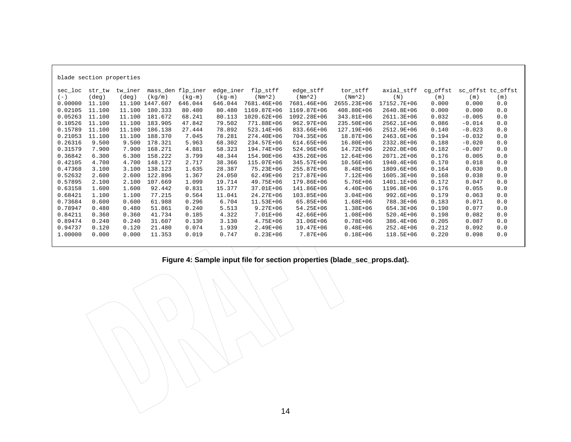| mass_den flp_iner<br>flp_stff<br>axial_stff<br>cg_offst<br>sc_offst tc_offst<br>tw_iner<br>edge_iner<br>edge_stff<br>tor_stff<br>sec_loc<br>str_tw<br>$(Nm^2)$<br>$(-)$<br>$(\text{deg})$<br>(deq)<br>(kq/m)<br>$(kq-m)$<br>$(Nm^2)$<br>$(Nm^2)$<br>(N)<br>$(kq-m)$<br>(m)<br>(m)<br>(m)<br>0.00000<br>11.100<br>11.100 1447.607<br>7681.46E+06<br>2655.23E+06<br>17152.7E+06<br>0.000<br>0.000<br>0.0<br>646.044<br>646.044<br>7681.46E+06<br>0.02105<br>180.333<br>80.480<br>1169.87E+06<br>1169.87E+06<br>408.80E+06<br>2640.8E+06<br>0.0<br>11,100<br>11,100<br>80.480<br>0.000<br>0.000<br>0.05263<br>11.100<br>181.672<br>80.113<br>1020.62E+06<br>1092.28E+06<br>343.81E+06<br>0.032<br>0.0<br>11,100<br>68.241<br>2611.3E+06<br>$-0.005$<br>0.10526<br>183.905<br>79.502<br>771.88E+06<br>235.50E+06<br>11,100<br>11,100<br>47.842<br>962.97E+06<br>2562.1E+06<br>0.086<br>0.0<br>$-0.014$<br>0.15789<br>186.138<br>78.892<br>11,100<br>11,100<br>27.444<br>523.14E+06<br>833.66E+06<br>127.19E+06<br>2512.9E+06<br>0.140<br>0.0<br>$-0.023$ |  |
|------------------------------------------------------------------------------------------------------------------------------------------------------------------------------------------------------------------------------------------------------------------------------------------------------------------------------------------------------------------------------------------------------------------------------------------------------------------------------------------------------------------------------------------------------------------------------------------------------------------------------------------------------------------------------------------------------------------------------------------------------------------------------------------------------------------------------------------------------------------------------------------------------------------------------------------------------------------------------------------------------------------------------------------------------|--|
|                                                                                                                                                                                                                                                                                                                                                                                                                                                                                                                                                                                                                                                                                                                                                                                                                                                                                                                                                                                                                                                      |  |
|                                                                                                                                                                                                                                                                                                                                                                                                                                                                                                                                                                                                                                                                                                                                                                                                                                                                                                                                                                                                                                                      |  |
|                                                                                                                                                                                                                                                                                                                                                                                                                                                                                                                                                                                                                                                                                                                                                                                                                                                                                                                                                                                                                                                      |  |
|                                                                                                                                                                                                                                                                                                                                                                                                                                                                                                                                                                                                                                                                                                                                                                                                                                                                                                                                                                                                                                                      |  |
|                                                                                                                                                                                                                                                                                                                                                                                                                                                                                                                                                                                                                                                                                                                                                                                                                                                                                                                                                                                                                                                      |  |
|                                                                                                                                                                                                                                                                                                                                                                                                                                                                                                                                                                                                                                                                                                                                                                                                                                                                                                                                                                                                                                                      |  |
|                                                                                                                                                                                                                                                                                                                                                                                                                                                                                                                                                                                                                                                                                                                                                                                                                                                                                                                                                                                                                                                      |  |
| 0.21053<br>188.370<br>274.40E+06<br>0.0<br>11.100<br>11.100<br>7.045<br>78.281<br>704.35E+06<br>18.87E+06<br>2463.6E+06<br>0.194<br>$-0.032$                                                                                                                                                                                                                                                                                                                                                                                                                                                                                                                                                                                                                                                                                                                                                                                                                                                                                                         |  |
| 0.26316<br>178.321<br>9.500<br>5.963<br>68.302<br>234.57E+06<br>614.65E+06<br>16.80E+06<br>2332.8E+06<br>0.188<br>$-0.020$<br>0.0<br>9.500                                                                                                                                                                                                                                                                                                                                                                                                                                                                                                                                                                                                                                                                                                                                                                                                                                                                                                           |  |
| 0.31579<br>168.271<br>7.900<br>7.900<br>4.881<br>58.323<br>194.74E+06<br>524.96E+06<br>14.72E+06<br>2202.0E+06<br>0.182<br>$-0.007$<br>0.0                                                                                                                                                                                                                                                                                                                                                                                                                                                                                                                                                                                                                                                                                                                                                                                                                                                                                                           |  |
| 0.36842<br>158.222<br>154.90E+06<br>0.0<br>6.300<br>3.799<br>48.344<br>435.26E+06<br>12.64E+06<br>2071.2E+06<br>0.176<br>0.005<br>6.300                                                                                                                                                                                                                                                                                                                                                                                                                                                                                                                                                                                                                                                                                                                                                                                                                                                                                                              |  |
| 0.42105<br>148.172<br>2.717<br>0.170<br>0.0<br>4.700<br>38.366<br>115.07E+06<br>345.57E+06<br>10.56E+06<br>1940.4E+06<br>0.018<br>4.700                                                                                                                                                                                                                                                                                                                                                                                                                                                                                                                                                                                                                                                                                                                                                                                                                                                                                                              |  |
| 0.47368<br>138.123<br>28.387<br>75.23E+06<br>8.48E+06<br>0.164<br>0.0<br>3.100<br>3.100<br>1.635<br>255.87E+06<br>1809.6E+06<br>0.030                                                                                                                                                                                                                                                                                                                                                                                                                                                                                                                                                                                                                                                                                                                                                                                                                                                                                                                |  |
| 0.52632<br>122.896<br>7.12E+06<br>0.168<br>0.0<br>1.367<br>24.050<br>62.49E+06<br>217.87E+06<br>1605.3E+06<br>0.038<br>2.600<br>2.600                                                                                                                                                                                                                                                                                                                                                                                                                                                                                                                                                                                                                                                                                                                                                                                                                                                                                                                |  |
| 0.57895<br>107.669<br>19.714<br>49.75E+06<br>179.86E+06<br>$5.76E + 06$<br>1401.1E+06<br>0.172<br>0.0<br>2.100<br>2.100<br>1.099<br>0.047                                                                                                                                                                                                                                                                                                                                                                                                                                                                                                                                                                                                                                                                                                                                                                                                                                                                                                            |  |
| 0.63158<br>15.377<br>37.01E+06<br>141.86E+06<br>$4.40E + 06$<br>0.176<br>0.0<br>1.600<br>1.600<br>92.442<br>0.831<br>1196.8E+06<br>0.055                                                                                                                                                                                                                                                                                                                                                                                                                                                                                                                                                                                                                                                                                                                                                                                                                                                                                                             |  |
| 0.68421<br>1.100<br>11.041<br>24.27E+06<br>103.85E+06<br>$3.04E + 06$<br>0.0<br>1,100<br>77.215<br>0.564<br>992.6E+06<br>0.179<br>0.063                                                                                                                                                                                                                                                                                                                                                                                                                                                                                                                                                                                                                                                                                                                                                                                                                                                                                                              |  |
| 6.704<br>0.0<br>0.73684<br>0.600<br>0.600<br>61.988<br>0.296<br>11.53E+06<br>65.85E+06<br>1.68E+06<br>788.3E+06<br>0.183<br>0.071                                                                                                                                                                                                                                                                                                                                                                                                                                                                                                                                                                                                                                                                                                                                                                                                                                                                                                                    |  |
| 0.78947<br>5.513<br>$9.27E + 06$<br>0.480<br>0.480<br>51.861<br>0.240<br>54.25E+06<br>1.38E+06<br>654.3E+06<br>0.190<br>0.077<br>0.0                                                                                                                                                                                                                                                                                                                                                                                                                                                                                                                                                                                                                                                                                                                                                                                                                                                                                                                 |  |
| 0.84211<br>41.734<br>0.185<br>4.322<br>7.01E+06<br>42.66E+06<br>1.08E+06<br>$520.4E+06$<br>0.198<br>0.082<br>0.0<br>0.360<br>0.360                                                                                                                                                                                                                                                                                                                                                                                                                                                                                                                                                                                                                                                                                                                                                                                                                                                                                                                   |  |
| 0.89474<br>0.240<br>31.607<br>0.130<br>3.130<br>4.75E+06<br>31.06E+06<br>$0.78E + 06$<br>386.4E+06<br>0.205<br>0.087<br>0.0<br>0.240                                                                                                                                                                                                                                                                                                                                                                                                                                                                                                                                                                                                                                                                                                                                                                                                                                                                                                                 |  |
| 0.94737<br>$2.49E + 06$<br>$0.48E + 06$<br>0.212<br>0.120<br>0.120<br>21.480<br>0.074<br>1.939<br>19.47E+06<br>252.4E+06<br>0.092<br>0.0                                                                                                                                                                                                                                                                                                                                                                                                                                                                                                                                                                                                                                                                                                                                                                                                                                                                                                             |  |
| 1,00000<br>0.747<br>$0.23E + 06$<br>7.87E+06<br>$0.18E + 06$<br>0.220<br>0.0<br>0.000<br>0.000<br>11.353<br>0.019<br>118.5E+06<br>0.098                                                                                                                                                                                                                                                                                                                                                                                                                                                                                                                                                                                                                                                                                                                                                                                                                                                                                                              |  |

**Figure 4: Sample input file for section properties (blade\_sec\_props.dat).**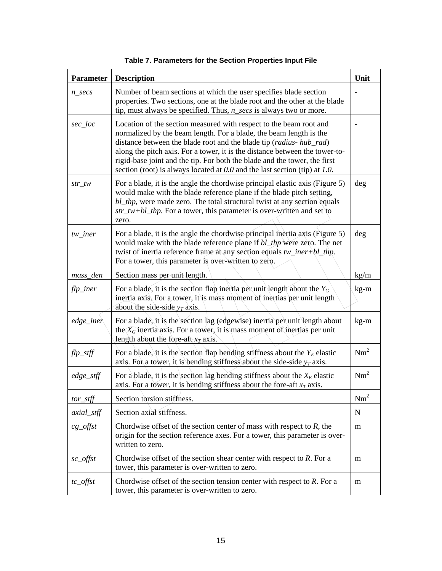<span id="page-16-0"></span>

| <b>Parameter</b> | <b>Description</b>                                                                                                                                                                                                                                                                                                                                                                                                                                             | Unit            |
|------------------|----------------------------------------------------------------------------------------------------------------------------------------------------------------------------------------------------------------------------------------------------------------------------------------------------------------------------------------------------------------------------------------------------------------------------------------------------------------|-----------------|
| $n\_secs$        | Number of beam sections at which the user specifies blade section<br>properties. Two sections, one at the blade root and the other at the blade<br>tip, must always be specified. Thus, $n\_secs$ is always two or more.                                                                                                                                                                                                                                       |                 |
| sec_loc          | Location of the section measured with respect to the beam root and<br>normalized by the beam length. For a blade, the beam length is the<br>distance between the blade root and the blade tip (radius- hub_rad)<br>along the pitch axis. For a tower, it is the distance between the tower-to-<br>rigid-base joint and the tip. For both the blade and the tower, the first<br>section (root) is always located at $0.0$ and the last section (tip) at $1.0$ . |                 |
| $str\_tw$        | For a blade, it is the angle the chordwise principal elastic axis (Figure 5)<br>would make with the blade reference plane if the blade pitch setting,<br>bl_thp, were made zero. The total structural twist at any section equals<br>$str_{\perp}$ tw+bl_thp. For a tower, this parameter is over-written and set to<br>zero.                                                                                                                                  | deg             |
| $tw\_iner$       | For a blade, it is the angle the chordwise principal inertia axis (Figure 5)<br>would make with the blade reference plane if bl_thp were zero. The net<br>twist of inertia reference frame at any section equals $tw\_iner + bl\_thp$ .<br>For a tower, this parameter is over-written to zero.                                                                                                                                                                | deg             |
| mass_den         | Section mass per unit length.                                                                                                                                                                                                                                                                                                                                                                                                                                  | kg/m            |
| $flp\_iner$      | For a blade, it is the section flap inertia per unit length about the $Y_G$<br>inertia axis. For a tower, it is mass moment of inertias per unit length<br>about the side-side $y_T$ axis.                                                                                                                                                                                                                                                                     | kg-m            |
| $edge\_iner$     | For a blade, it is the section lag (edgewise) inertia per unit length about<br>the $\widehat{X_G}$ inertia axis. For a tower, it is mass moment of inertias per unit<br>length about the fore-aft $x_T$ axis.                                                                                                                                                                                                                                                  | kg-m            |
| flp_stff         | For a blade, it is the section flap bending stiffness about the $Y_E$ elastic<br>axis. For a tower, it is bending stiffness about the side-side $y_T$ axis.                                                                                                                                                                                                                                                                                                    | Nm <sup>2</sup> |
| $edge\_stff$     | For a blade, it is the section lag bending stiffness about the $X_E$ elastic<br>axis. For a tower, it is bending stiffness about the fore-aft $x_T$ axis.                                                                                                                                                                                                                                                                                                      | Nm <sup>2</sup> |
| $tor\_stff$      | Section torsion stiffness.                                                                                                                                                                                                                                                                                                                                                                                                                                     | Nm <sup>2</sup> |
| $axial_s$        | Section axial stiffness.                                                                                                                                                                                                                                                                                                                                                                                                                                       | $\mathbf N$     |
| $cg\_offset$     | Chordwise offset of the section center of mass with respect to $R$ , the<br>origin for the section reference axes. For a tower, this parameter is over-<br>written to zero.                                                                                                                                                                                                                                                                                    | m               |
| sc_offst         | Chordwise offset of the section shear center with respect to $R$ . For a<br>tower, this parameter is over-written to zero.                                                                                                                                                                                                                                                                                                                                     | m               |
| $tc\_offset$     | Chordwise offset of the section tension center with respect to $R$ . For a<br>tower, this parameter is over-written to zero.                                                                                                                                                                                                                                                                                                                                   | m               |

**Table 7. Parameters for the Section Properties Input File**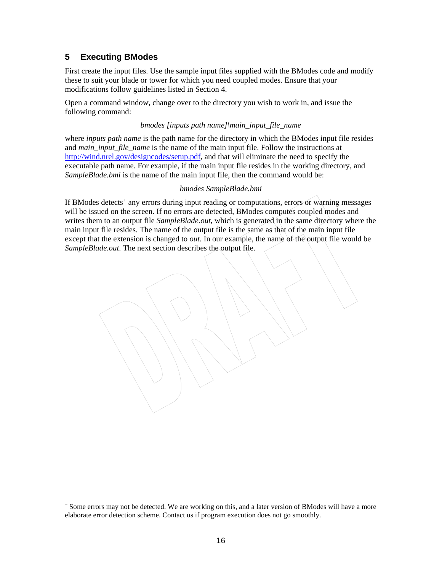#### <span id="page-17-0"></span>**5 Executing BModes**

l

First create the input files. Use the sample input files supplied with the BModes code and modify these to suit your blade or tower for which you need coupled modes. Ensure that your modifications follow guidelines listed in Section 4.

Open a command window, change over to the directory you wish to work in, and issue the following command:

#### *bmodes [inputs path name]\main\_input\_file\_name*

where *inputs path name* is the path name for the directory in which the BModes input file resides and *main input file name* is the name of the main input file. Follow the instructions at [http://wind.nrel.gov/designcodes/setup.pdf,](http://wind.nrel.gov/designcodes/setup.pdf) and that will eliminate the need to specify the executable path name. For example, if the main input file resides in the working directory, and *SampleBlade.bmi* is the name of the main input file, then the command would be:

#### *bmodes SampleBlade.bmi*

If BModes detects<sup>[+](#page-17-0)</sup> any errors during input reading or computations, errors or warning messages will be issued on the screen. If no errors are detected, BModes computes coupled modes and writes them to an output file *SampleBlade.out*, which is generated in the same directory where the main input file resides. The name of the output file is the same as that of the main input file except that the extension is changed to *out*. In our example, the name of the output file would be *SampleBlade.out*. The next section describes the output file.

<sup>+</sup> Some errors may not be detected. We are working on this, and a later version of BModes will have a more elaborate error detection scheme. Contact us if program execution does not go smoothly.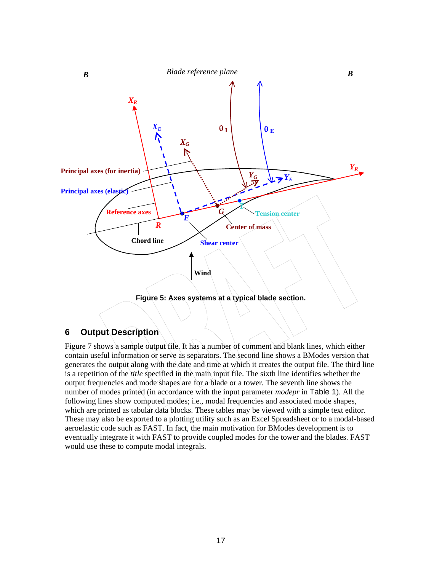<span id="page-18-0"></span>

#### **6 Output Description**

Figure 7 shows a sample output file. It has a number of comment and blank lines, which either contain useful information or serve as separators. The second line shows a BModes version that generates the output along with the date and time at which it creates the output file. The third line is a repetition of the *title* specified in the main input file. The sixth line identifies whether the output frequencies and mode shapes are for a blade or a tower. The seventh line shows the number of modes printed (in accordance with the input parameter *modepr* in [Table 1](#page-10-0)). All the following lines show computed modes; i.e., modal frequencies and associated mode shapes, which are printed as tabular data blocks. These tables may be viewed with a simple text editor. These may also be exported to a plotting utility such as an Excel Spreadsheet or to a modal-based aeroelastic code such as FAST. In fact, the main motivation for BModes development is to eventually integrate it with FAST to provide coupled modes for the tower and the blades. FAST would use these to compute modal integrals.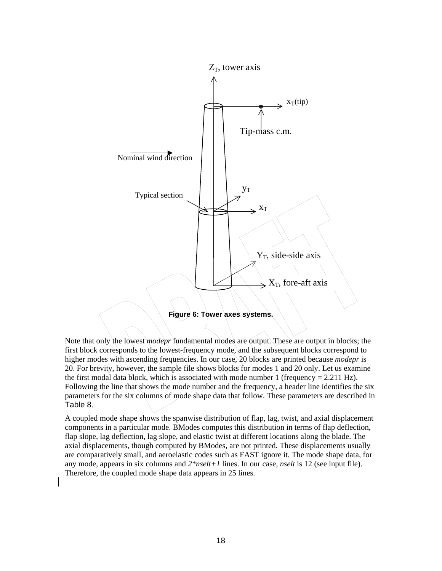

Note that only the lowest *modepr* fundamental modes are output. These are output in blocks; the first block corresponds to the lowest-frequency mode, and the subsequent blocks correspond to higher modes with ascending frequencies. In our case, 20 blocks are printed because *modepr* is 20. For brevity, however, the sample file shows blocks for modes 1 and 20 only. Let us examine the first modal data block, which is associated with mode number 1 (frequency  $= 2.211$  Hz). Following the line that shows the mode number and the frequency, a header line identifies the six parameters for the six columns of mode shape data that follow. These parameters are described in [Table 8](#page-20-0).

A coupled mode shape shows the spanwise distribution of flap, lag, twist, and axial displacement components in a particular mode. BModes computes this distribution in terms of flap deflection, flap slope, lag deflection, lag slope, and elastic twist at different locations along the blade. The axial displacements, though computed by BModes, are not printed. These displacements usually are comparatively small, and aeroelastic codes such as FAST ignore it. The mode shape data, for any mode, appears in six columns and *2\*nselt+1* lines. In our case, *nselt* is 12 (see input file). Therefore, the coupled mode shape data appears in 25 lines.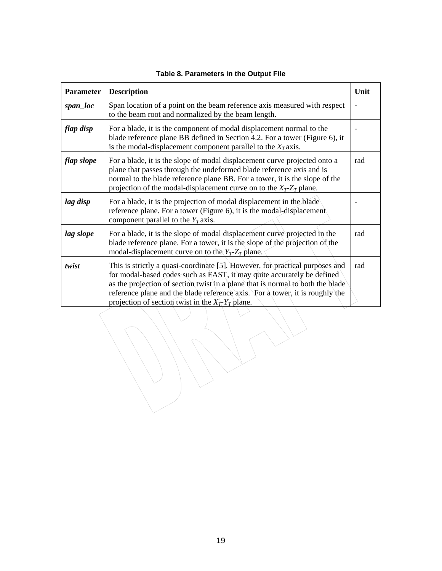<span id="page-20-0"></span>

| <b>Parameter</b> | <b>Description</b>                                                                                                                                                                                                                                                                                                                                                              | Unit |
|------------------|---------------------------------------------------------------------------------------------------------------------------------------------------------------------------------------------------------------------------------------------------------------------------------------------------------------------------------------------------------------------------------|------|
| span_loc         | Span location of a point on the beam reference axis measured with respect<br>to the beam root and normalized by the beam length.                                                                                                                                                                                                                                                |      |
| flap disp        | For a blade, it is the component of modal displacement normal to the<br>blade reference plane BB defined in Section 4.2. For a tower (Figure 6), it<br>is the modal-displacement component parallel to the $X_T$ axis.                                                                                                                                                          |      |
| flap slope       | For a blade, it is the slope of modal displacement curve projected onto a<br>plane that passes through the undeformed blade reference axis and is<br>normal to the blade reference plane BB. For a tower, it is the slope of the<br>projection of the modal-displacement curve on to the $X_T$ - $Z_T$ plane.                                                                   | rad  |
| lag disp         | For a blade, it is the projection of modal displacement in the blade<br>reference plane. For a tower (Figure 6), it is the modal-displacement<br>component parallel to the $Y_T$ axis.                                                                                                                                                                                          |      |
| lag slope        | For a blade, it is the slope of modal displacement curve projected in the<br>blade reference plane. For a tower, it is the slope of the projection of the<br>modal-displacement curve on to the $Y_T$ - $Z_T$ plane.                                                                                                                                                            | rad  |
| twist            | This is strictly a quasi-coordinate [5]. However, for practical purposes and<br>for modal-based codes such as FAST, it may quite accurately be defined<br>as the projection of section twist in a plane that is normal to both the blade<br>reference plane and the blade reference axis. For a tower, it is roughly the<br>projection of section twist in the $X_T Y_T$ plane. | rad  |

**Table 8. Parameters in the Output File**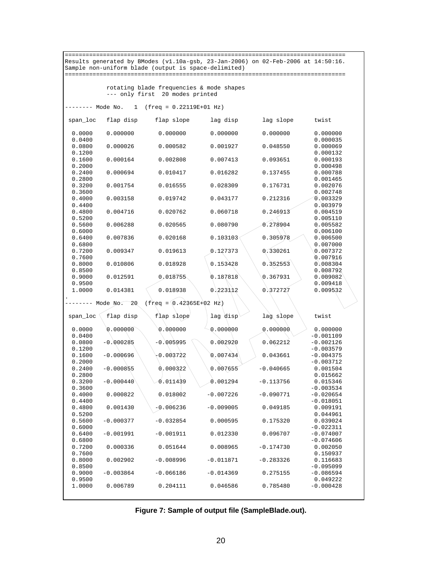| Results generated by BModes (v1.10a-gsb, 23-Jan-2006) on 02-Feb-2006 at 14:50:16. |             |             |             |             |                            |
|-----------------------------------------------------------------------------------|-------------|-------------|-------------|-------------|----------------------------|
| Sample non-uniform blade (output is space-delimited)                              |             |             |             |             |                            |
|                                                                                   |             |             |             |             |                            |
| rotating blade frequencies & mode shapes                                          |             |             |             |             |                            |
| --- only first 20 modes printed                                                   |             |             |             |             |                            |
|                                                                                   |             |             |             |             |                            |
| Mode No.<br>1<br>$(freq = 0.22119E+01 Hz)$                                        |             |             |             |             |                            |
| span_loc                                                                          | flap disp   | flap slope  | lag disp    | lag slope   | twist                      |
| 0.0000<br>0.0400                                                                  | 0.000000    | 0.000000    | 0.000000    | 0.000000    | 0.000000<br>0.000035       |
| 0.0800                                                                            | 0.000026    | 0.000582    | 0.001927    | 0.048550    | 0.000069                   |
| 0.1200<br>0.1600                                                                  | 0.000164    | 0.002808    | 0.007413    | 0.093651    | 0.000132<br>0.000193       |
| 0.2000<br>0.2400                                                                  | 0.000694    | 0.010417    | 0.016282    | 0.137455    | 0.000498<br>0.000788       |
| 0.2800<br>0.3200                                                                  | 0.001754    | 0.016555    | 0.028309    | 0.176731    | 0.001465<br>0.002076       |
| 0.3600<br>0.4000                                                                  | 0.003158    | 0.019742    | 0.043177    | 0.212316    | 0.002748<br>0,003329       |
| 0.4400                                                                            |             |             |             |             | 0.003979                   |
| 0.4800<br>0.5200                                                                  | 0.004716    | 0.020762    | 0.060718    | 0.246913    | 0.004519<br>0.005110       |
| 0.5600                                                                            | 0.006288    | 0.020565    | 0.080790    | 0.278904    | 0.005582                   |
| 0.6000<br>0.6400                                                                  | 0.007836    | 0.020168    | 0.103103    | 0.305978    | 0,006100<br>0.006500       |
| 0.6800<br>0.7200                                                                  | 0.009347    | 0.019613    | 0.127373    | 0.330261    | 0.007000<br>0.007372       |
| 0.7600<br>0.8000                                                                  | 0.010806    | 0.018928    | 0.153428    | 0.352553    | 0.007916<br>0,008304       |
| 0.8500                                                                            |             |             |             |             | 0.008792                   |
| 0.9000<br>0.9500                                                                  | 0.012591    | 0.018755    | 0.187818    | 0.367931    | 0.009082<br>0.009418       |
| 1.0000                                                                            | 0.014381    | 0.018938    | 0.223112    | 0.372727    | 0.009532                   |
| $(freq = 0.42365E+02 Hz)$<br>Mode No.<br>20                                       |             |             |             |             |                            |
| span_loc                                                                          | flap disp   | flap slope  | lag disp    | lag slope   | twist                      |
| 0.0000                                                                            | 0.000000    | 0.00000     | 0.000000    | 0.000000    | 0.000000                   |
| 0.0400<br>0.0800                                                                  | $-0.000285$ | $-0.005995$ | 0.002920    | 0.062212    | $-0.001109$<br>$-0.002126$ |
| 0.1200<br>0.1600                                                                  | $-0.000696$ | 0.003722    | 0.007434    | 0.043661    | $-0.003579$<br>$-0.004375$ |
| 0.2000                                                                            |             |             |             |             | $-0.003712$                |
| 0.2400<br>0.2800                                                                  | $-0.000855$ | 0.000322    | 0.007655    | $-0.040665$ | 0.001504<br>0.015662       |
| 0.3200<br>0.3600                                                                  | $-0.000440$ | 0.011439    | 0.001294    | $-0.113756$ | 0.015346<br>$-0.003534$    |
| 0.4000                                                                            | 0.000822    | 0.018002    | $-0.007226$ | $-0.090771$ | $-0.020654$                |
| 0.4400<br>0.4800                                                                  | 0.001430    | $-0.006236$ | $-0.009005$ | 0.049185    | $-0.018051$<br>0.009191    |
| 0.5200<br>0.5600                                                                  | $-0.000377$ | $-0.032854$ | 0.000595    | 0.175320    | 0.044961<br>0.039024       |
| 0.6000<br>0.6400                                                                  | $-0.001991$ | $-0.001911$ | 0.012330    | 0.096707    | $-0.022311$<br>$-0.074007$ |
| 0.6800                                                                            |             |             |             |             | $-0.074606$                |
| 0.7200<br>0.7600                                                                  | 0.000336    | 0.051644    | 0.008965    | $-0.174730$ | 0.002050<br>0.150937       |
| 0.8000<br>0.8500                                                                  | 0.002902    | $-0.008996$ | $-0.011871$ | $-0.283326$ | 0.116683<br>$-0.095099$    |
| 0.9000                                                                            | $-0.003864$ | $-0.066186$ | $-0.014369$ | 0.275155    | $-0.086594$                |
| 0.9500<br>1.0000                                                                  | 0.006789    | 0.204111    | 0.046586    | 0.785480    | 0.049222<br>$-0.000428$    |
|                                                                                   |             |             |             |             |                            |

**Figure 7: Sample of output file (SampleBlade.out).**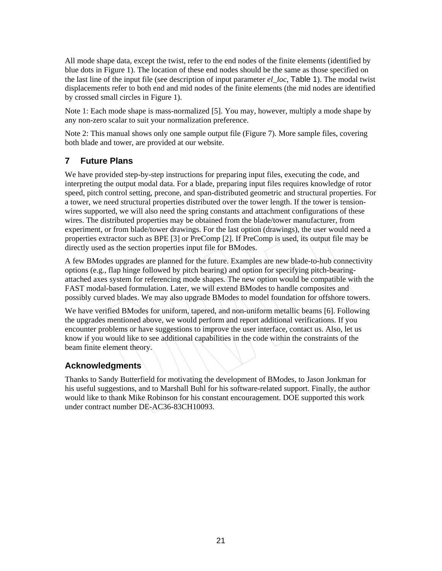<span id="page-22-0"></span>All mode shape data, except the twist, refer to the end nodes of the finite elements (identified by blue dots in Figure 1). The location of these end nodes should be the same as those specified on the last line of the input file (see description of input parameter *el\_loc*, [Table 1](#page-10-0)). The modal twist displacements refer to both end and mid nodes of the finite elements (the mid nodes are identified by crossed small circles in Figure 1).

Note 1: Each mode shape is mass-normalized [5]. You may, however, multiply a mode shape by any non-zero scalar to suit your normalization preference.

Note 2: This manual shows only one sample output file (Figure 7). More sample files, covering both blade and tower, are provided at our website.

## **7 Future Plans**

We have provided step-by-step instructions for preparing input files, executing the code, and interpreting the output modal data. For a blade, preparing input files requires knowledge of rotor speed, pitch control setting, precone, and span-distributed geometric and structural properties. For a tower, we need structural properties distributed over the tower length. If the tower is tensionwires supported, we will also need the spring constants and attachment configurations of these wires. The distributed properties may be obtained from the blade/tower manufacturer, from experiment, or from blade/tower drawings. For the last option (drawings), the user would need a properties extractor such as BPE [3] or PreComp [2]. If PreComp is used, its output file may be directly used as the section properties input file for BModes.

A few BModes upgrades are planned for the future. Examples are new blade-to-hub connectivity options (e.g., flap hinge followed by pitch bearing) and option for specifying pitch-bearingattached axes system for referencing mode shapes. The new option would be compatible with the FAST modal-based formulation. Later, we will extend BModes to handle composites and possibly curved blades. We may also upgrade BModes to model foundation for offshore towers.

We have verified BModes for uniform, tapered, and non-uniform metallic beams [6]. Following the upgrades mentioned above, we would perform and report additional verifications. If you encounter problems or have suggestions to improve the user interface, contact us. Also, let us know if you would like to see additional capabilities in the code within the constraints of the beam finite element theory.

#### **Acknowledgments**

Thanks to Sandy Butterfield for motivating the development of BModes, to Jason Jonkman for his useful suggestions, and to Marshall Buhl for his software-related support. Finally, the author would like to thank Mike Robinson for his constant encouragement. DOE supported this work under contract number DE-AC36-83CH10093.